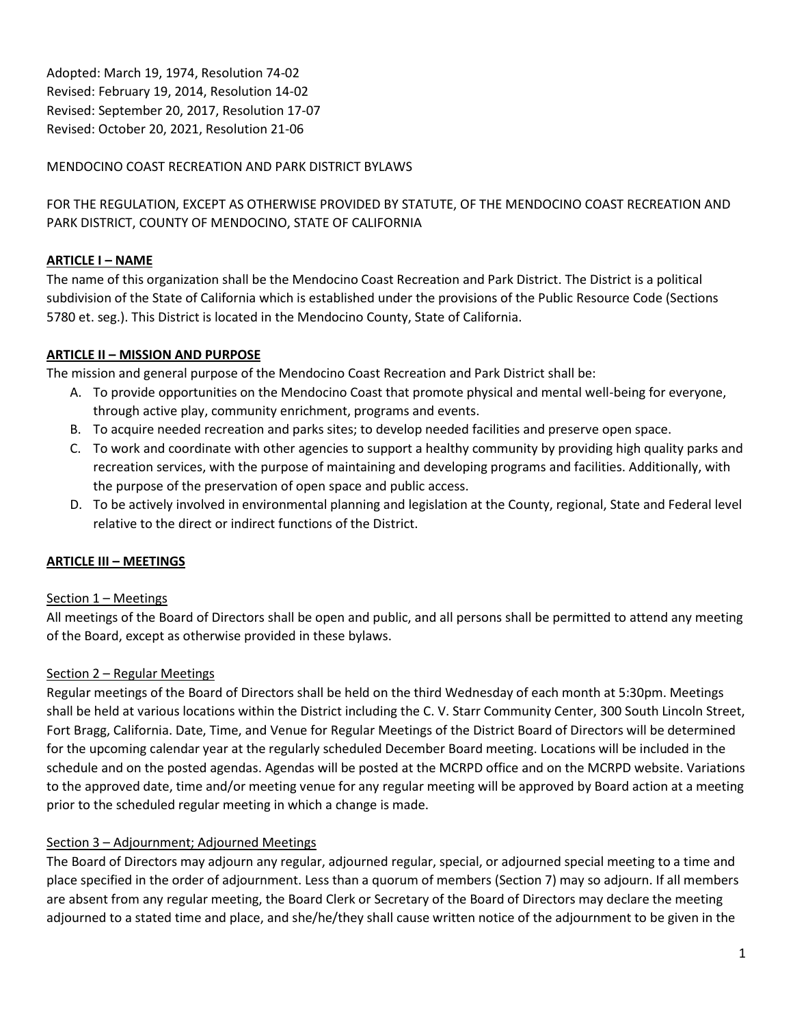Adopted: March 19, 1974, Resolution 74-02 Revised: February 19, 2014, Resolution 14-02 Revised: September 20, 2017, Resolution 17-07 Revised: October 20, 2021, Resolution 21-06

## MENDOCINO COAST RECREATION AND PARK DISTRICT BYLAWS

FOR THE REGULATION, EXCEPT AS OTHERWISE PROVIDED BY STATUTE, OF THE MENDOCINO COAST RECREATION AND PARK DISTRICT, COUNTY OF MENDOCINO, STATE OF CALIFORNIA

## **ARTICLE I – NAME**

The name of this organization shall be the Mendocino Coast Recreation and Park District. The District is a political subdivision of the State of California which is established under the provisions of the Public Resource Code (Sections 5780 et. seg.). This District is located in the Mendocino County, State of California.

### **ARTICLE II – MISSION AND PURPOSE**

The mission and general purpose of the Mendocino Coast Recreation and Park District shall be:

- A. To provide opportunities on the Mendocino Coast that promote physical and mental well-being for everyone, through active play, community enrichment, programs and events.
- B. To acquire needed recreation and parks sites; to develop needed facilities and preserve open space.
- C. To work and coordinate with other agencies to support a healthy community by providing high quality parks and recreation services, with the purpose of maintaining and developing programs and facilities. Additionally, with the purpose of the preservation of open space and public access.
- D. To be actively involved in environmental planning and legislation at the County, regional, State and Federal level relative to the direct or indirect functions of the District.

### **ARTICLE III – MEETINGS**

### Section 1 – Meetings

All meetings of the Board of Directors shall be open and public, and all persons shall be permitted to attend any meeting of the Board, except as otherwise provided in these bylaws.

### Section 2 – Regular Meetings

Regular meetings of the Board of Directors shall be held on the third Wednesday of each month at 5:30pm. Meetings shall be held at various locations within the District including the C. V. Starr Community Center, 300 South Lincoln Street, Fort Bragg, California. Date, Time, and Venue for Regular Meetings of the District Board of Directors will be determined for the upcoming calendar year at the regularly scheduled December Board meeting. Locations will be included in the schedule and on the posted agendas. Agendas will be posted at the MCRPD office and on the MCRPD website. Variations to the approved date, time and/or meeting venue for any regular meeting will be approved by Board action at a meeting prior to the scheduled regular meeting in which a change is made.

### Section 3 – Adjournment; Adjourned Meetings

The Board of Directors may adjourn any regular, adjourned regular, special, or adjourned special meeting to a time and place specified in the order of adjournment. Less than a quorum of members (Section 7) may so adjourn. If all members are absent from any regular meeting, the Board Clerk or Secretary of the Board of Directors may declare the meeting adjourned to a stated time and place, and she/he/they shall cause written notice of the adjournment to be given in the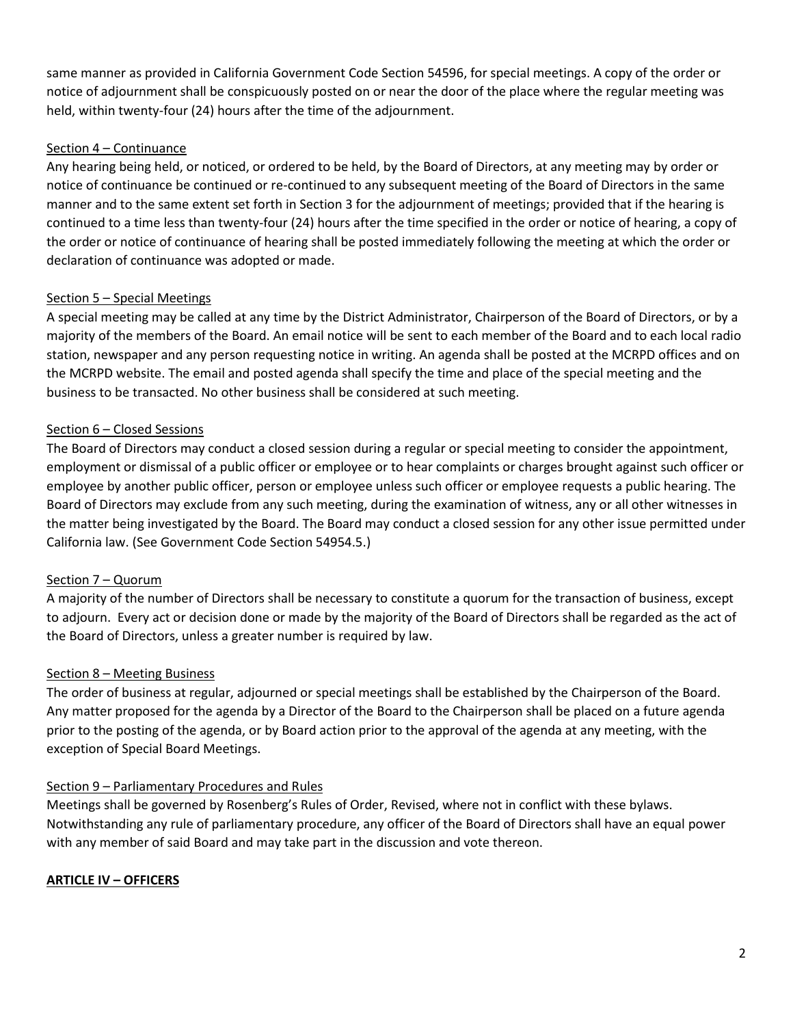same manner as provided in California Government Code Section 54596, for special meetings. A copy of the order or notice of adjournment shall be conspicuously posted on or near the door of the place where the regular meeting was held, within twenty-four (24) hours after the time of the adjournment.

### Section 4 – Continuance

Any hearing being held, or noticed, or ordered to be held, by the Board of Directors, at any meeting may by order or notice of continuance be continued or re-continued to any subsequent meeting of the Board of Directors in the same manner and to the same extent set forth in Section 3 for the adjournment of meetings; provided that if the hearing is continued to a time less than twenty-four (24) hours after the time specified in the order or notice of hearing, a copy of the order or notice of continuance of hearing shall be posted immediately following the meeting at which the order or declaration of continuance was adopted or made.

## Section 5 – Special Meetings

A special meeting may be called at any time by the District Administrator, Chairperson of the Board of Directors, or by a majority of the members of the Board. An email notice will be sent to each member of the Board and to each local radio station, newspaper and any person requesting notice in writing. An agenda shall be posted at the MCRPD offices and on the MCRPD website. The email and posted agenda shall specify the time and place of the special meeting and the business to be transacted. No other business shall be considered at such meeting.

## Section 6 – Closed Sessions

The Board of Directors may conduct a closed session during a regular or special meeting to consider the appointment, employment or dismissal of a public officer or employee or to hear complaints or charges brought against such officer or employee by another public officer, person or employee unless such officer or employee requests a public hearing. The Board of Directors may exclude from any such meeting, during the examination of witness, any or all other witnesses in the matter being investigated by the Board. The Board may conduct a closed session for any other issue permitted under California law. (See Government Code Section 54954.5.)

# Section 7 – Quorum

A majority of the number of Directors shall be necessary to constitute a quorum for the transaction of business, except to adjourn. Every act or decision done or made by the majority of the Board of Directors shall be regarded as the act of the Board of Directors, unless a greater number is required by law.

### Section 8 – Meeting Business

The order of business at regular, adjourned or special meetings shall be established by the Chairperson of the Board. Any matter proposed for the agenda by a Director of the Board to the Chairperson shall be placed on a future agenda prior to the posting of the agenda, or by Board action prior to the approval of the agenda at any meeting, with the exception of Special Board Meetings.

### Section 9 – Parliamentary Procedures and Rules

Meetings shall be governed by Rosenberg's Rules of Order, Revised, where not in conflict with these bylaws. Notwithstanding any rule of parliamentary procedure, any officer of the Board of Directors shall have an equal power with any member of said Board and may take part in the discussion and vote thereon.

### **ARTICLE IV – OFFICERS**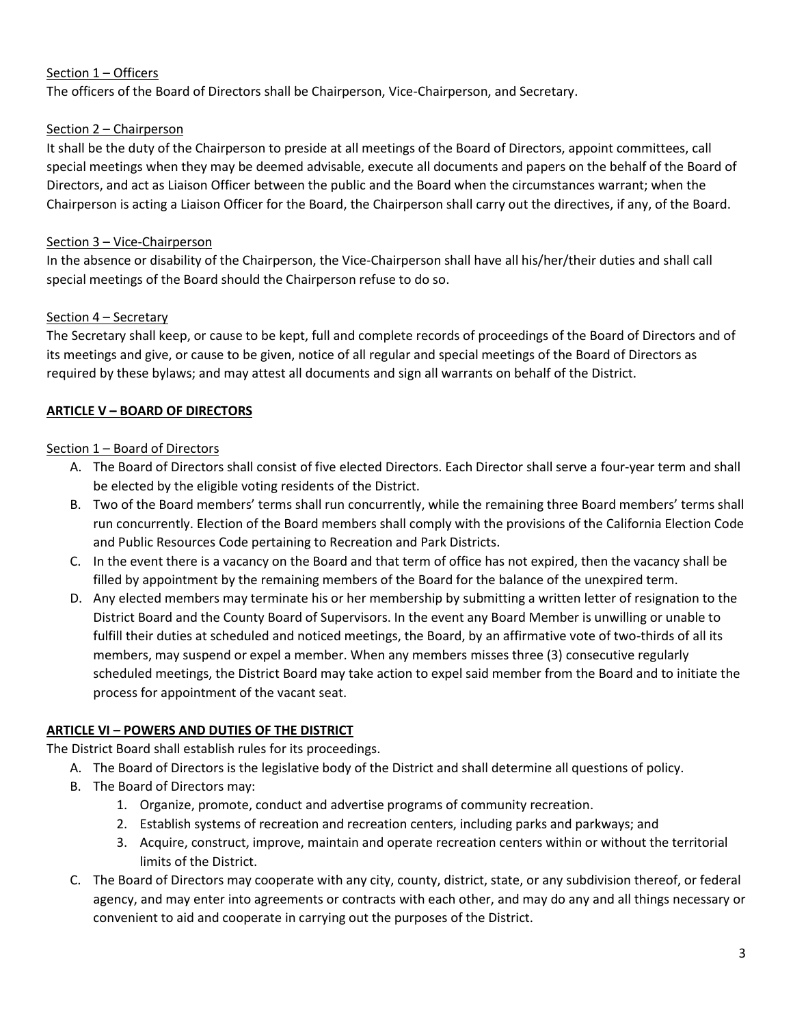## Section 1 – Officers

The officers of the Board of Directors shall be Chairperson, Vice-Chairperson, and Secretary.

### Section 2 – Chairperson

It shall be the duty of the Chairperson to preside at all meetings of the Board of Directors, appoint committees, call special meetings when they may be deemed advisable, execute all documents and papers on the behalf of the Board of Directors, and act as Liaison Officer between the public and the Board when the circumstances warrant; when the Chairperson is acting a Liaison Officer for the Board, the Chairperson shall carry out the directives, if any, of the Board.

## Section 3 – Vice-Chairperson

In the absence or disability of the Chairperson, the Vice-Chairperson shall have all his/her/their duties and shall call special meetings of the Board should the Chairperson refuse to do so.

## Section 4 – Secretary

The Secretary shall keep, or cause to be kept, full and complete records of proceedings of the Board of Directors and of its meetings and give, or cause to be given, notice of all regular and special meetings of the Board of Directors as required by these bylaws; and may attest all documents and sign all warrants on behalf of the District.

## **ARTICLE V – BOARD OF DIRECTORS**

### Section 1 – Board of Directors

- A. The Board of Directors shall consist of five elected Directors. Each Director shall serve a four-year term and shall be elected by the eligible voting residents of the District.
- B. Two of the Board members' terms shall run concurrently, while the remaining three Board members' terms shall run concurrently. Election of the Board members shall comply with the provisions of the California Election Code and Public Resources Code pertaining to Recreation and Park Districts.
- C. In the event there is a vacancy on the Board and that term of office has not expired, then the vacancy shall be filled by appointment by the remaining members of the Board for the balance of the unexpired term.
- D. Any elected members may terminate his or her membership by submitting a written letter of resignation to the District Board and the County Board of Supervisors. In the event any Board Member is unwilling or unable to fulfill their duties at scheduled and noticed meetings, the Board, by an affirmative vote of two-thirds of all its members, may suspend or expel a member. When any members misses three (3) consecutive regularly scheduled meetings, the District Board may take action to expel said member from the Board and to initiate the process for appointment of the vacant seat.

### **ARTICLE VI – POWERS AND DUTIES OF THE DISTRICT**

The District Board shall establish rules for its proceedings.

- A. The Board of Directors is the legislative body of the District and shall determine all questions of policy.
- B. The Board of Directors may:
	- 1. Organize, promote, conduct and advertise programs of community recreation.
	- 2. Establish systems of recreation and recreation centers, including parks and parkways; and
	- 3. Acquire, construct, improve, maintain and operate recreation centers within or without the territorial limits of the District.
- C. The Board of Directors may cooperate with any city, county, district, state, or any subdivision thereof, or federal agency, and may enter into agreements or contracts with each other, and may do any and all things necessary or convenient to aid and cooperate in carrying out the purposes of the District.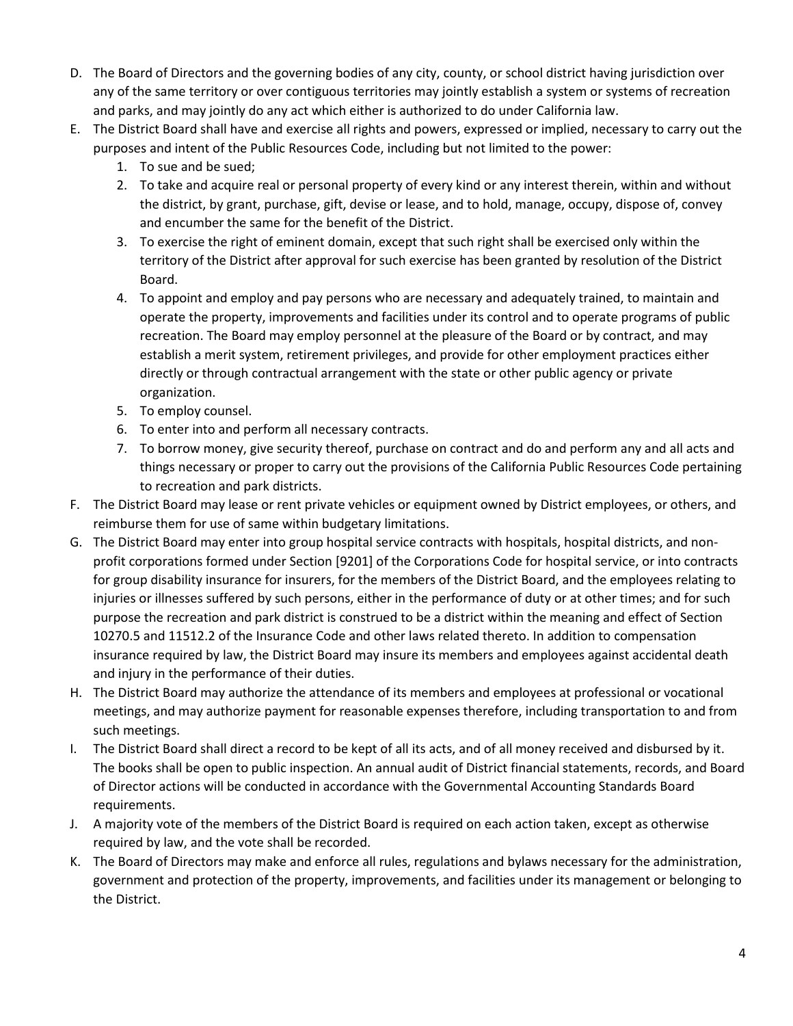- D. The Board of Directors and the governing bodies of any city, county, or school district having jurisdiction over any of the same territory or over contiguous territories may jointly establish a system or systems of recreation and parks, and may jointly do any act which either is authorized to do under California law.
- E. The District Board shall have and exercise all rights and powers, expressed or implied, necessary to carry out the purposes and intent of the Public Resources Code, including but not limited to the power:
	- 1. To sue and be sued;
	- 2. To take and acquire real or personal property of every kind or any interest therein, within and without the district, by grant, purchase, gift, devise or lease, and to hold, manage, occupy, dispose of, convey and encumber the same for the benefit of the District.
	- 3. To exercise the right of eminent domain, except that such right shall be exercised only within the territory of the District after approval for such exercise has been granted by resolution of the District Board.
	- 4. To appoint and employ and pay persons who are necessary and adequately trained, to maintain and operate the property, improvements and facilities under its control and to operate programs of public recreation. The Board may employ personnel at the pleasure of the Board or by contract, and may establish a merit system, retirement privileges, and provide for other employment practices either directly or through contractual arrangement with the state or other public agency or private organization.
	- 5. To employ counsel.
	- 6. To enter into and perform all necessary contracts.
	- 7. To borrow money, give security thereof, purchase on contract and do and perform any and all acts and things necessary or proper to carry out the provisions of the California Public Resources Code pertaining to recreation and park districts.
- F. The District Board may lease or rent private vehicles or equipment owned by District employees, or others, and reimburse them for use of same within budgetary limitations.
- G. The District Board may enter into group hospital service contracts with hospitals, hospital districts, and nonprofit corporations formed under Section [9201] of the Corporations Code for hospital service, or into contracts for group disability insurance for insurers, for the members of the District Board, and the employees relating to injuries or illnesses suffered by such persons, either in the performance of duty or at other times; and for such purpose the recreation and park district is construed to be a district within the meaning and effect of Section 10270.5 and 11512.2 of the Insurance Code and other laws related thereto. In addition to compensation insurance required by law, the District Board may insure its members and employees against accidental death and injury in the performance of their duties.
- H. The District Board may authorize the attendance of its members and employees at professional or vocational meetings, and may authorize payment for reasonable expenses therefore, including transportation to and from such meetings.
- I. The District Board shall direct a record to be kept of all its acts, and of all money received and disbursed by it. The books shall be open to public inspection. An annual audit of District financial statements, records, and Board of Director actions will be conducted in accordance with the Governmental Accounting Standards Board requirements.
- J. A majority vote of the members of the District Board is required on each action taken, except as otherwise required by law, and the vote shall be recorded.
- K. The Board of Directors may make and enforce all rules, regulations and bylaws necessary for the administration, government and protection of the property, improvements, and facilities under its management or belonging to the District.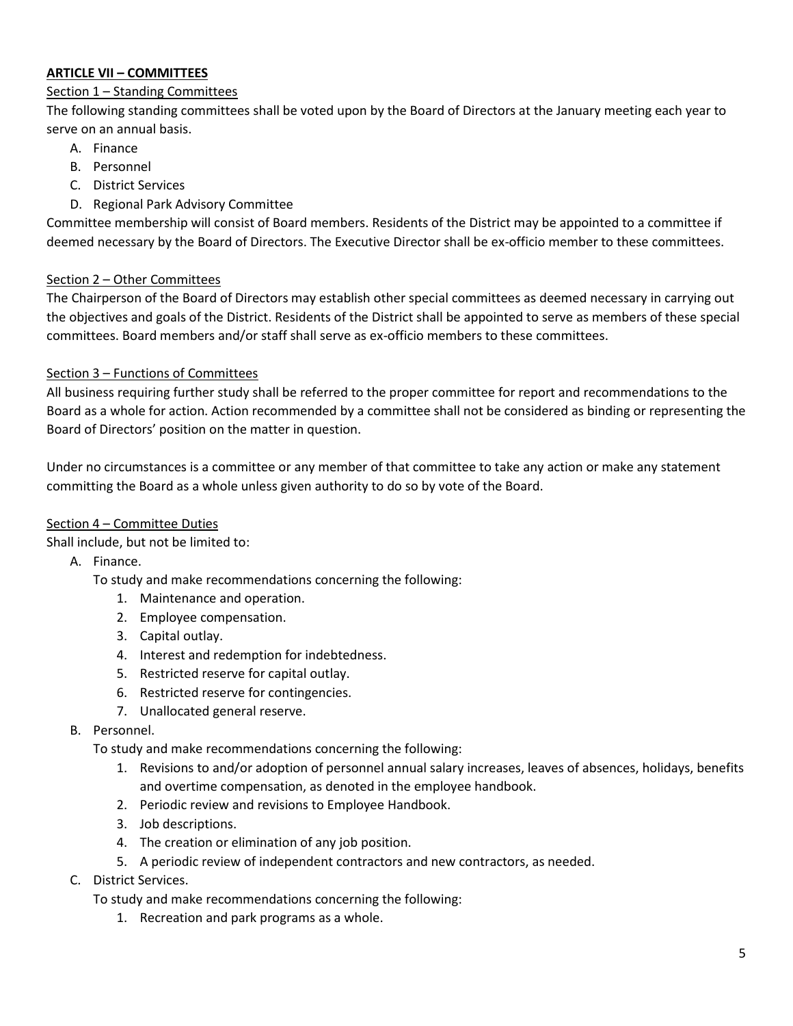### **ARTICLE VII – COMMITTEES**

### Section 1 – Standing Committees

The following standing committees shall be voted upon by the Board of Directors at the January meeting each year to serve on an annual basis.

- A. Finance
- B. Personnel
- C. District Services
- D. Regional Park Advisory Committee

Committee membership will consist of Board members. Residents of the District may be appointed to a committee if deemed necessary by the Board of Directors. The Executive Director shall be ex-officio member to these committees.

### Section 2 – Other Committees

The Chairperson of the Board of Directors may establish other special committees as deemed necessary in carrying out the objectives and goals of the District. Residents of the District shall be appointed to serve as members of these special committees. Board members and/or staff shall serve as ex-officio members to these committees.

### Section 3 – Functions of Committees

All business requiring further study shall be referred to the proper committee for report and recommendations to the Board as a whole for action. Action recommended by a committee shall not be considered as binding or representing the Board of Directors' position on the matter in question.

Under no circumstances is a committee or any member of that committee to take any action or make any statement committing the Board as a whole unless given authority to do so by vote of the Board.

### Section 4 – Committee Duties

Shall include, but not be limited to:

A. Finance.

To study and make recommendations concerning the following:

- 1. Maintenance and operation.
- 2. Employee compensation.
- 3. Capital outlay.
- 4. Interest and redemption for indebtedness.
- 5. Restricted reserve for capital outlay.
- 6. Restricted reserve for contingencies.
- 7. Unallocated general reserve.
- B. Personnel.

To study and make recommendations concerning the following:

- 1. Revisions to and/or adoption of personnel annual salary increases, leaves of absences, holidays, benefits and overtime compensation, as denoted in the employee handbook.
- 2. Periodic review and revisions to Employee Handbook.
- 3. Job descriptions.
- 4. The creation or elimination of any job position.
- 5. A periodic review of independent contractors and new contractors, as needed.
- C. District Services.

To study and make recommendations concerning the following:

1. Recreation and park programs as a whole.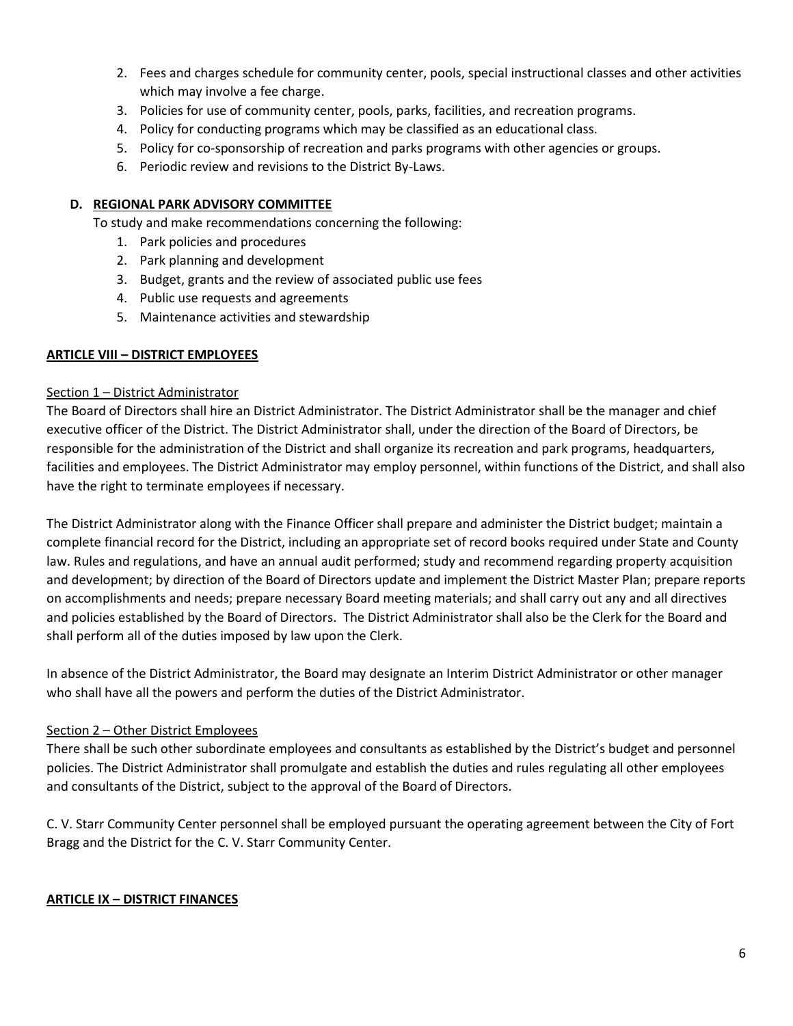- 2. Fees and charges schedule for community center, pools, special instructional classes and other activities which may involve a fee charge.
- 3. Policies for use of community center, pools, parks, facilities, and recreation programs.
- 4. Policy for conducting programs which may be classified as an educational class.
- 5. Policy for co-sponsorship of recreation and parks programs with other agencies or groups.
- 6. Periodic review and revisions to the District By-Laws.

#### **D. REGIONAL PARK ADVISORY COMMITTEE**

To study and make recommendations concerning the following:

- 1. Park policies and procedures
- 2. Park planning and development
- 3. Budget, grants and the review of associated public use fees
- 4. Public use requests and agreements
- 5. Maintenance activities and stewardship

#### **ARTICLE VIII – DISTRICT EMPLOYEES**

#### Section 1 – District Administrator

The Board of Directors shall hire an District Administrator. The District Administrator shall be the manager and chief executive officer of the District. The District Administrator shall, under the direction of the Board of Directors, be responsible for the administration of the District and shall organize its recreation and park programs, headquarters, facilities and employees. The District Administrator may employ personnel, within functions of the District, and shall also have the right to terminate employees if necessary.

The District Administrator along with the Finance Officer shall prepare and administer the District budget; maintain a complete financial record for the District, including an appropriate set of record books required under State and County law. Rules and regulations, and have an annual audit performed; study and recommend regarding property acquisition and development; by direction of the Board of Directors update and implement the District Master Plan; prepare reports on accomplishments and needs; prepare necessary Board meeting materials; and shall carry out any and all directives and policies established by the Board of Directors. The District Administrator shall also be the Clerk for the Board and shall perform all of the duties imposed by law upon the Clerk.

In absence of the District Administrator, the Board may designate an Interim District Administrator or other manager who shall have all the powers and perform the duties of the District Administrator.

#### Section 2 – Other District Employees

There shall be such other subordinate employees and consultants as established by the District's budget and personnel policies. The District Administrator shall promulgate and establish the duties and rules regulating all other employees and consultants of the District, subject to the approval of the Board of Directors.

C. V. Starr Community Center personnel shall be employed pursuant the operating agreement between the City of Fort Bragg and the District for the C. V. Starr Community Center.

#### **ARTICLE IX – DISTRICT FINANCES**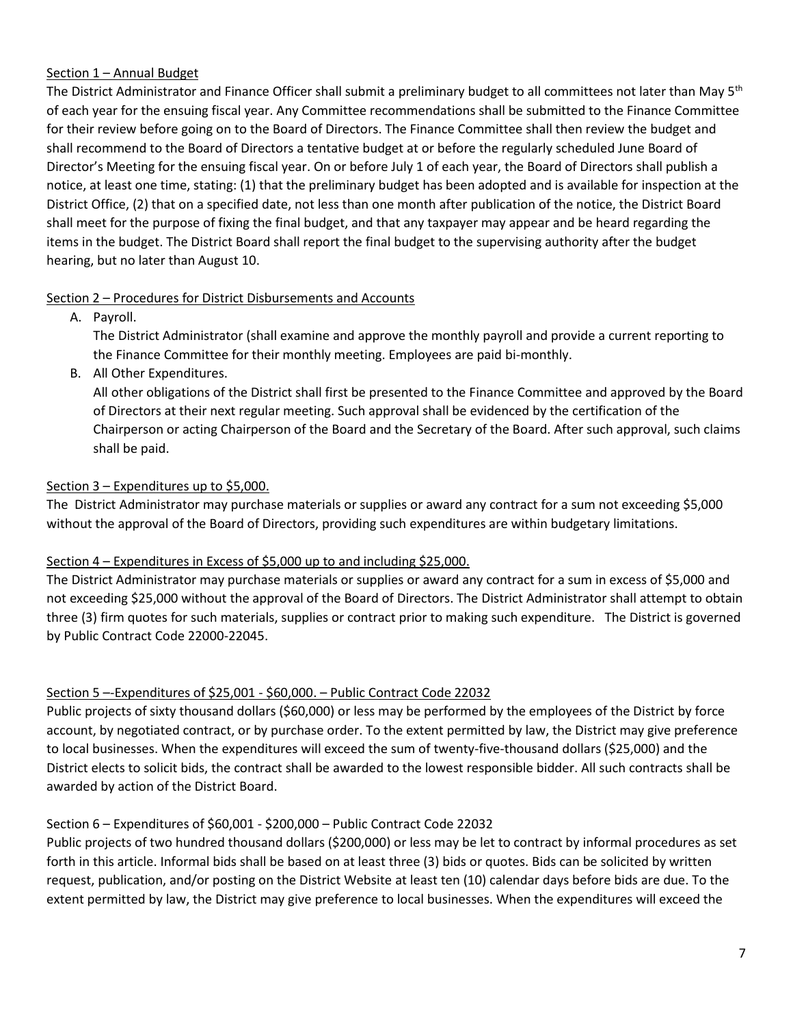### Section 1 – Annual Budget

The District Administrator and Finance Officer shall submit a preliminary budget to all committees not later than May  $5<sup>th</sup>$ of each year for the ensuing fiscal year. Any Committee recommendations shall be submitted to the Finance Committee for their review before going on to the Board of Directors. The Finance Committee shall then review the budget and shall recommend to the Board of Directors a tentative budget at or before the regularly scheduled June Board of Director's Meeting for the ensuing fiscal year. On or before July 1 of each year, the Board of Directors shall publish a notice, at least one time, stating: (1) that the preliminary budget has been adopted and is available for inspection at the District Office, (2) that on a specified date, not less than one month after publication of the notice, the District Board shall meet for the purpose of fixing the final budget, and that any taxpayer may appear and be heard regarding the items in the budget. The District Board shall report the final budget to the supervising authority after the budget hearing, but no later than August 10.

## Section 2 – Procedures for District Disbursements and Accounts

A. Payroll.

The District Administrator (shall examine and approve the monthly payroll and provide a current reporting to the Finance Committee for their monthly meeting. Employees are paid bi-monthly.

B. All Other Expenditures.

All other obligations of the District shall first be presented to the Finance Committee and approved by the Board of Directors at their next regular meeting. Such approval shall be evidenced by the certification of the Chairperson or acting Chairperson of the Board and the Secretary of the Board. After such approval, such claims shall be paid.

# Section 3 – Expenditures up to \$5,000.

The District Administrator may purchase materials or supplies or award any contract for a sum not exceeding \$5,000 without the approval of the Board of Directors, providing such expenditures are within budgetary limitations.

# Section 4 – Expenditures in Excess of \$5,000 up to and including \$25,000.

The District Administrator may purchase materials or supplies or award any contract for a sum in excess of \$5,000 and not exceeding \$25,000 without the approval of the Board of Directors. The District Administrator shall attempt to obtain three (3) firm quotes for such materials, supplies or contract prior to making such expenditure. The District is governed by Public Contract Code 22000-22045.

# Section 5 –-Expenditures of \$25,001 - \$60,000. – Public Contract Code 22032

Public projects of sixty thousand dollars (\$60,000) or less may be performed by the employees of the District by force account, by negotiated contract, or by purchase order. To the extent permitted by law, the District may give preference to local businesses. When the expenditures will exceed the sum of twenty-five-thousand dollars (\$25,000) and the District elects to solicit bids, the contract shall be awarded to the lowest responsible bidder. All such contracts shall be awarded by action of the District Board.

# Section 6 – Expenditures of \$60,001 - \$200,000 – Public Contract Code 22032

Public projects of two hundred thousand dollars (\$200,000) or less may be let to contract by informal procedures as set forth in this article. Informal bids shall be based on at least three (3) bids or quotes. Bids can be solicited by written request, publication, and/or posting on the District Website at least ten (10) calendar days before bids are due. To the extent permitted by law, the District may give preference to local businesses. When the expenditures will exceed the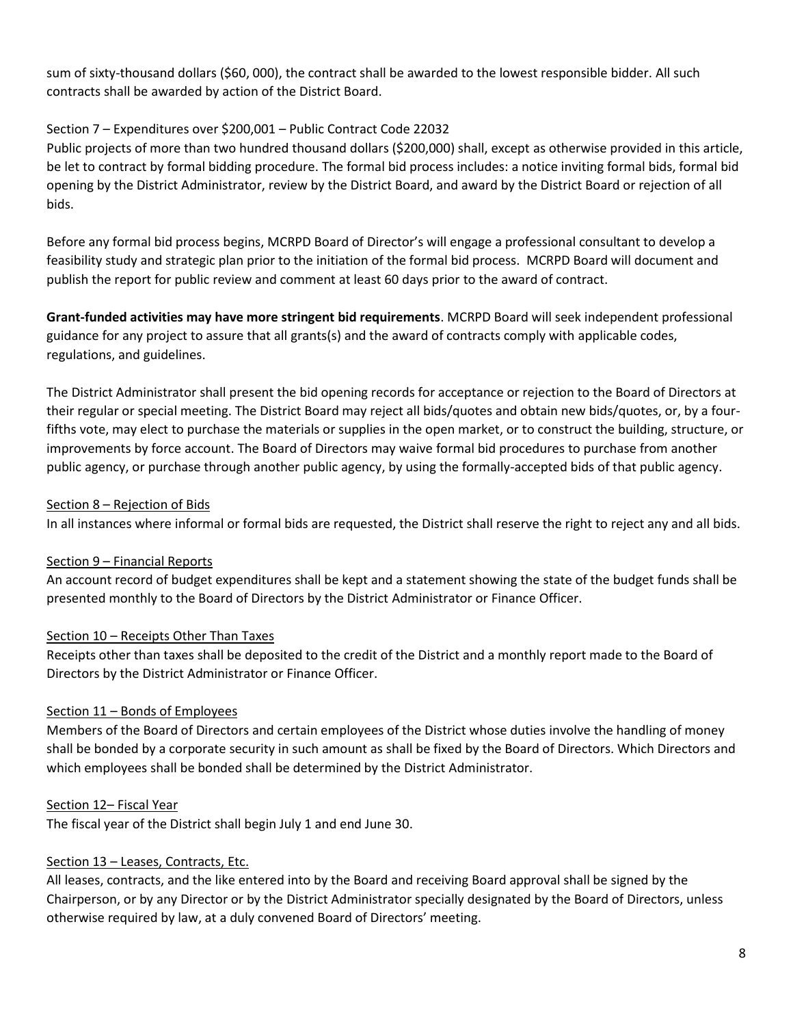sum of sixty-thousand dollars (\$60, 000), the contract shall be awarded to the lowest responsible bidder. All such contracts shall be awarded by action of the District Board.

### Section 7 – Expenditures over \$200,001 – Public Contract Code 22032

Public projects of more than two hundred thousand dollars (\$200,000) shall, except as otherwise provided in this article, be let to contract by formal bidding procedure. The formal bid process includes: a notice inviting formal bids, formal bid opening by the District Administrator, review by the District Board, and award by the District Board or rejection of all bids.

Before any formal bid process begins, MCRPD Board of Director's will engage a professional consultant to develop a feasibility study and strategic plan prior to the initiation of the formal bid process. MCRPD Board will document and publish the report for public review and comment at least 60 days prior to the award of contract.

**Grant-funded activities may have more stringent bid requirements**. MCRPD Board will seek independent professional guidance for any project to assure that all grants(s) and the award of contracts comply with applicable codes, regulations, and guidelines.

The District Administrator shall present the bid opening records for acceptance or rejection to the Board of Directors at their regular or special meeting. The District Board may reject all bids/quotes and obtain new bids/quotes, or, by a fourfifths vote, may elect to purchase the materials or supplies in the open market, or to construct the building, structure, or improvements by force account. The Board of Directors may waive formal bid procedures to purchase from another public agency, or purchase through another public agency, by using the formally-accepted bids of that public agency.

### Section 8 – Rejection of Bids

In all instances where informal or formal bids are requested, the District shall reserve the right to reject any and all bids.

### Section 9 – Financial Reports

An account record of budget expenditures shall be kept and a statement showing the state of the budget funds shall be presented monthly to the Board of Directors by the District Administrator or Finance Officer.

### Section 10 – Receipts Other Than Taxes

Receipts other than taxes shall be deposited to the credit of the District and a monthly report made to the Board of Directors by the District Administrator or Finance Officer.

### Section 11 – Bonds of Employees

Members of the Board of Directors and certain employees of the District whose duties involve the handling of money shall be bonded by a corporate security in such amount as shall be fixed by the Board of Directors. Which Directors and which employees shall be bonded shall be determined by the District Administrator.

### Section 12– Fiscal Year

The fiscal year of the District shall begin July 1 and end June 30.

### Section 13 – Leases, Contracts, Etc.

All leases, contracts, and the like entered into by the Board and receiving Board approval shall be signed by the Chairperson, or by any Director or by the District Administrator specially designated by the Board of Directors, unless otherwise required by law, at a duly convened Board of Directors' meeting.